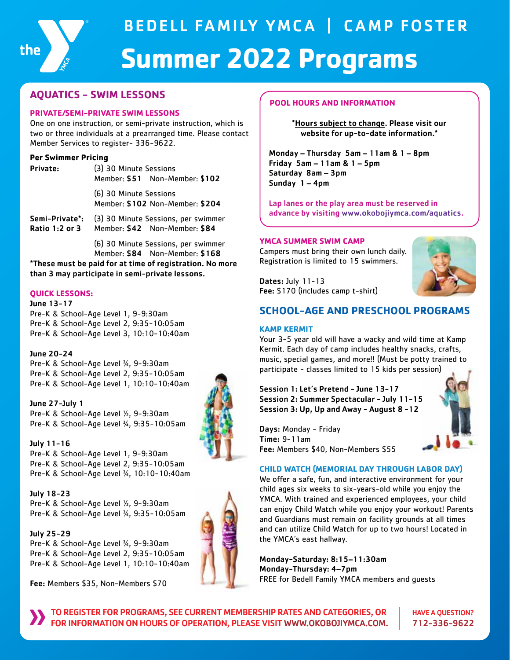

# BEDELL FAMILY YMCA | CAMP FOSTER  **Summer 2022 Programs**

# **AQUATICS - SWIM LESSONS**

#### **PRIVATE/SEMI-PRIVATE SWIM LESSONS**

One on one instruction, or semi-private instruction, which is two or three individuals at a prearranged time. Please contact Member Services to register- 336-9622.

#### **Per Swimmer Pricing**

| Private: | (3) 30 Minute Sessions                                    | Member: \$51 Non-Member: \$102 |
|----------|-----------------------------------------------------------|--------------------------------|
|          | (6) 30 Minute Sessions<br>Member: \$102 Non-Member: \$204 |                                |
|          | Semi-Private*: (3) 30 Minute Sessions, per swimmer        |                                |

Ratio 1:2 or 3 Member: \$42 Non-Member: \$84

(6) 30 Minute Sessions, per swimmer Member: \$84 Non-Member: \$168

\*These must be paid for at time of registration. No more than 3 may participate in semi-private lessons.

#### **QUICK LESSONS:**

June 13-17 Pre-K & School-Age Level 1, 9-9:30am Pre-K & School-Age Level 2, 9:35-10:05am Pre-K & School-Age Level 3, 10:10-10:40am

June 20-24

Pre-K & School-Age Level ¾, 9-9:30am Pre-K & School-Age Level 2, 9:35-10:05am Pre-K & School-Age Level 1, 10:10-10:40am

June 27-July 1 Pre-K & School-Age Level ½, 9-9:30am Pre-K & School-Age Level ¾, 9:35-10:05am

July 11-16 Pre-K & School-Age Level 1, 9-9:30am Pre-K & School-Age Level 2, 9:35-10:05am Pre-K & School-Age Level ¾, 10:10-10:40am

July 18-23 Pre-K & School-Age Level ½, 9-9:30am Pre-K & School-Age Level ¾, 9:35-10:05am

July 25-29 Pre-K & School-Age Level ¾, 9-9:30am Pre-K & School-Age Level 2, 9:35-10:05am Pre-K & School-Age Level 1, 10:10-10:40am

Fee: Members \$35, Non-Members \$70



#### **POOL HOURS AND INFORMATION**

\*Hours subject to change. Please visit our website for up-to-date information.\*

Monday – Thursday 5am – 11am & 1 – 8pm Friday 5am – 11am & 1 – 5pm Saturday 8am – 3pm Sunday 1 – 4pm

Lap lanes or the play area must be reserved in advance by visiting www.okobojiymca.com/aquatics.

#### **YMCA SUMMER SWIM CAMP**

Campers must bring their own lunch daily. Registration is limited to 15 swimmers.



Dates: July 11-13 Fee: \$170 (includes camp t-shirt)

# **SCHOOL-AGE AND PRESCHOOL PROGRAMS**

#### **KAMP KERMIT**

Your 3-5 year old will have a wacky and wild time at Kamp Kermit. Each day of camp includes healthy snacks, crafts, music, special games, and more!! (Must be potty trained to participate - classes limited to 15 kids per session)

Session 1: Let's Pretend - June 13-17 Session 2: Summer Spectacular - July 11-15 Session 3: Up, Up and Away - August 8 -12

Days: Monday - Friday Time: 9-11am Fee: Members \$40, Non-Members \$55

## **CHILD WATCH (MEMORIAL DAY THROUGH LABOR DAY)**

We offer a safe, fun, and interactive environment for your child ages six weeks to six-years-old while you enjoy the YMCA. With trained and experienced employees, your child can enjoy Child Watch while you enjoy your workout! Parents and Guardians must remain on facility grounds at all times and can utilize Child Watch for up to two hours! Located in the YMCA's east hallway.

Monday-Saturday: 8:15–11:30am Monday-Thursday: 4–7pm FREE for Bedell Family YMCA members and guests

HAVE A QUESTION? 712-336-9622